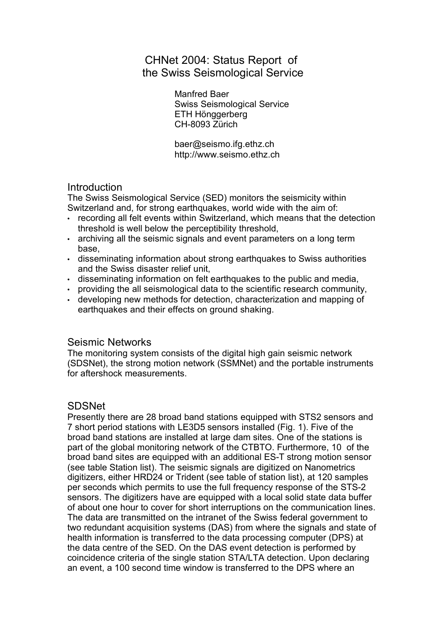## CHNet 2004: Status Report of the Swiss Seismological Service

Manfred Baer Swiss Seismological Service ETH Hönggerberg CH-8093 Zürich

baer@seismo.ifg.ethz.ch http://www.seismo.ethz.ch

## **Introduction**

The Swiss Seismological Service (SED) monitors the seismicity within Switzerland and, for strong earthquakes, world wide with the aim of:

- recording all felt events within Switzerland, which means that the detection threshold is well below the perceptibility threshold,
- archiving all the seismic signals and event parameters on a long term base,
- disseminating information about strong earthquakes to Swiss authorities and the Swiss disaster relief unit,
- disseminating information on felt earthquakes to the public and media,
- providing the all seismological data to the scientific research community,
- developing new methods for detection, characterization and mapping of earthquakes and their effects on ground shaking.

## Seismic Networks

The monitoring system consists of the digital high gain seismic network (SDSNet), the strong motion network (SSMNet) and the portable instruments for aftershock measurements.

## **SDSNet**

Presently there are 28 broad band stations equipped with STS2 sensors and 7 short period stations with LE3D5 sensors installed (Fig. 1). Five of the broad band stations are installed at large dam sites. One of the stations is part of the global monitoring network of the CTBTO. Furthermore, 10 of the broad band sites are equipped with an additional ES-T strong motion sensor (see table Station list). The seismic signals are digitized on Nanometrics digitizers, either HRD24 or Trident (see table of station list), at 120 samples per seconds which permits to use the full frequency response of the STS-2 sensors. The digitizers have are equipped with a local solid state data buffer of about one hour to cover for short interruptions on the communication lines. The data are transmitted on the intranet of the Swiss federal government to two redundant acquisition systems (DAS) from where the signals and state of health information is transferred to the data processing computer (DPS) at the data centre of the SED. On the DAS event detection is performed by coincidence criteria of the single station STA/LTA detection. Upon declaring an event, a 100 second time window is transferred to the DPS where an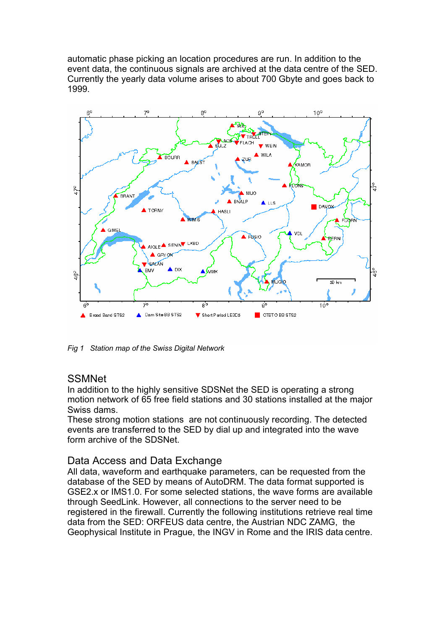automatic phase picking an location procedures are run. In addition to the event data, the continuous signals are archived at the data centre of the SED. Currently the yearly data volume arises to about 700 Gbyte and goes back to 1999.



*Fig 1 Station map of the Swiss Digital Network*

## **SSMNet**

In addition to the highly sensitive SDSNet the SED is operating a strong motion network of 65 free field stations and 30 stations installed at the major Swiss dams.

These strong motion stations are not continuously recording. The detected events are transferred to the SED by dial up and integrated into the wave form archive of the SDSNet.

## Data Access and Data Exchange

All data, waveform and earthquake parameters, can be requested from the database of the SED by means of AutoDRM. The data format supported is GSE2.x or IMS1.0. For some selected stations, the wave forms are available through SeedLink. However, all connections to the server need to be registered in the firewall. Currently the following institutions retrieve real time data from the SED: ORFEUS data centre, the Austrian NDC ZAMG, the Geophysical Institute in Prague, the INGV in Rome and the IRIS data centre.